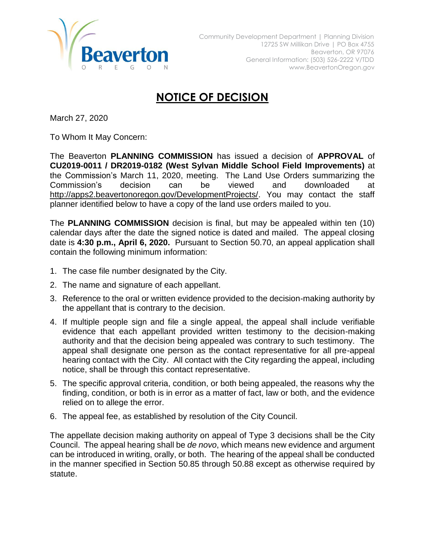

## **NOTICE OF DECISION**

March 27, 2020

To Whom It May Concern:

The Beaverton **PLANNING COMMISSION** has issued a decision of **APPROVAL** of **CU2019-0011 / DR2019-0182 (West Sylvan Middle School Field Improvements)** at the Commission's March 11, 2020, meeting. The Land Use Orders summarizing the Commission's decision can be viewed and downloaded at [http://apps2.beavertonoregon.gov/DevelopmentProjects/.](http://apps2.beavertonoregon.gov/DevelopmentProjects/) You may contact the staff planner identified below to have a copy of the land use orders mailed to you.

The **PLANNING COMMISSION** decision is final, but may be appealed within ten (10) calendar days after the date the signed notice is dated and mailed. The appeal closing date is **4:30 p.m., April 6, 2020.** Pursuant to Section 50.70, an appeal application shall contain the following minimum information:

- 1. The case file number designated by the City.
- 2. The name and signature of each appellant.
- 3. Reference to the oral or written evidence provided to the decision-making authority by the appellant that is contrary to the decision.
- 4. If multiple people sign and file a single appeal, the appeal shall include verifiable evidence that each appellant provided written testimony to the decision-making authority and that the decision being appealed was contrary to such testimony. The appeal shall designate one person as the contact representative for all pre-appeal hearing contact with the City. All contact with the City regarding the appeal, including notice, shall be through this contact representative.
- 5. The specific approval criteria, condition, or both being appealed, the reasons why the finding, condition, or both is in error as a matter of fact, law or both, and the evidence relied on to allege the error.
- 6. The appeal fee, as established by resolution of the City Council.

The appellate decision making authority on appeal of Type 3 decisions shall be the City Council. The appeal hearing shall be *de novo*, which means new evidence and argument can be introduced in writing, orally, or both. The hearing of the appeal shall be conducted in the manner specified in Section 50.85 through 50.88 except as otherwise required by statute.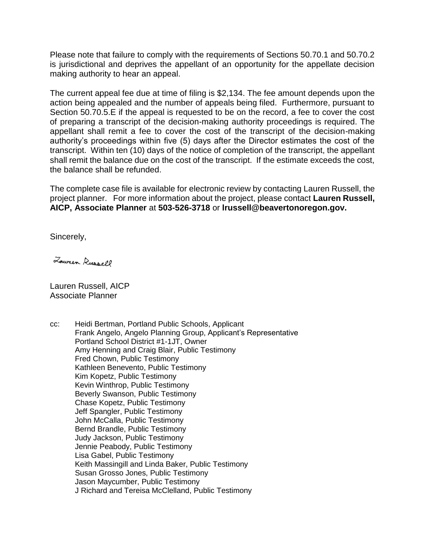Please note that failure to comply with the requirements of Sections 50.70.1 and 50.70.2 is jurisdictional and deprives the appellant of an opportunity for the appellate decision making authority to hear an appeal.

The current appeal fee due at time of filing is \$2,134. The fee amount depends upon the action being appealed and the number of appeals being filed. Furthermore, pursuant to Section 50.70.5.E if the appeal is requested to be on the record, a fee to cover the cost of preparing a transcript of the decision-making authority proceedings is required. The appellant shall remit a fee to cover the cost of the transcript of the decision-making authority's proceedings within five (5) days after the Director estimates the cost of the transcript. Within ten (10) days of the notice of completion of the transcript, the appellant shall remit the balance due on the cost of the transcript. If the estimate exceeds the cost, the balance shall be refunded.

The complete case file is available for electronic review by contacting Lauren Russell, the project planner. For more information about the project, please contact **Lauren Russell, AICP, Associate Planner** at **503-526-3718** or **lrussell@beavertonoregon.gov.**

Sincerely,

Lower Russell

Lauren Russell, AICP Associate Planner

cc: Heidi Bertman, Portland Public Schools, Applicant Frank Angelo, Angelo Planning Group, Applicant's Representative Portland School District #1-1JT, Owner Amy Henning and Craig Blair, Public Testimony Fred Chown, Public Testimony Kathleen Benevento, Public Testimony Kim Kopetz, Public Testimony Kevin Winthrop, Public Testimony Beverly Swanson, Public Testimony Chase Kopetz, Public Testimony Jeff Spangler, Public Testimony John McCalla, Public Testimony Bernd Brandle, Public Testimony Judy Jackson, Public Testimony Jennie Peabody, Public Testimony Lisa Gabel, Public Testimony Keith Massingill and Linda Baker, Public Testimony Susan Grosso Jones, Public Testimony Jason Maycumber, Public Testimony J Richard and Tereisa McClelland, Public Testimony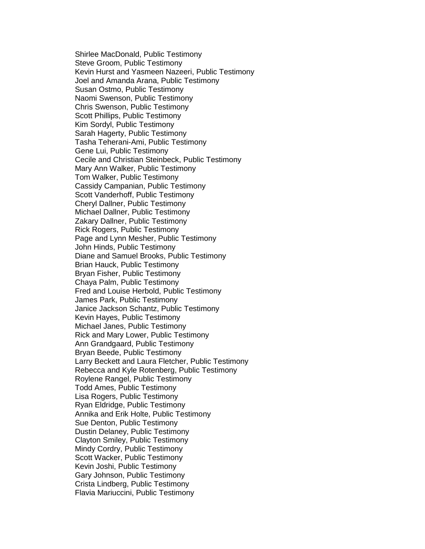Shirlee MacDonald, Public Testimony Steve Groom, Public Testimony Kevin Hurst and Yasmeen Nazeeri, Public Testimony Joel and Amanda Arana, Public Testimony Susan Ostmo, Public Testimony Naomi Swenson, Public Testimony Chris Swenson, Public Testimony Scott Phillips, Public Testimony Kim Sordyl, Public Testimony Sarah Hagerty, Public Testimony Tasha Teherani-Ami, Public Testimony Gene Lui, Public Testimony Cecile and Christian Steinbeck, Public Testimony Mary Ann Walker, Public Testimony Tom Walker, Public Testimony Cassidy Campanian, Public Testimony Scott Vanderhoff, Public Testimony Cheryl Dallner, Public Testimony Michael Dallner, Public Testimony Zakary Dallner, Public Testimony Rick Rogers, Public Testimony Page and Lynn Mesher, Public Testimony John Hinds, Public Testimony Diane and Samuel Brooks, Public Testimony Brian Hauck, Public Testimony Bryan Fisher, Public Testimony Chaya Palm, Public Testimony Fred and Louise Herbold, Public Testimony James Park, Public Testimony Janice Jackson Schantz, Public Testimony Kevin Hayes, Public Testimony Michael Janes, Public Testimony Rick and Mary Lower, Public Testimony Ann Grandgaard, Public Testimony Bryan Beede, Public Testimony Larry Beckett and Laura Fletcher, Public Testimony Rebecca and Kyle Rotenberg, Public Testimony Roylene Rangel, Public Testimony Todd Ames, Public Testimony Lisa Rogers, Public Testimony Ryan Eldridge, Public Testimony Annika and Erik Holte, Public Testimony Sue Denton, Public Testimony Dustin Delaney, Public Testimony Clayton Smiley, Public Testimony Mindy Cordry, Public Testimony Scott Wacker, Public Testimony Kevin Joshi, Public Testimony Gary Johnson, Public Testimony Crista Lindberg, Public Testimony Flavia Mariuccini, Public Testimony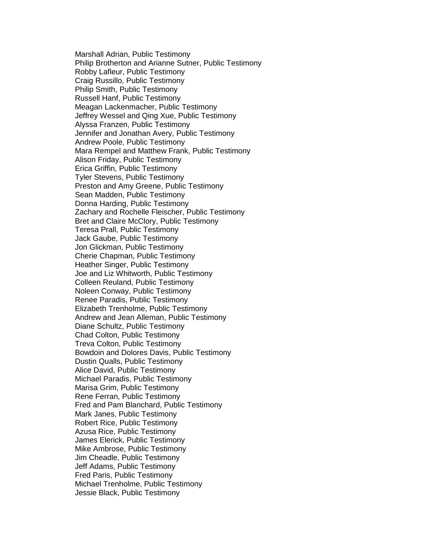Marshall Adrian, Public Testimony Philip Brotherton and Arianne Sutner, Public Testimony Robby Lafleur, Public Testimony Craig Russillo, Public Testimony Philip Smith, Public Testimony Russell Hanf, Public Testimony Meagan Lackenmacher, Public Testimony Jeffrey Wessel and Qing Xue, Public Testimony Alyssa Franzen, Public Testimony Jennifer and Jonathan Avery, Public Testimony Andrew Poole, Public Testimony Mara Rempel and Matthew Frank, Public Testimony Alison Friday, Public Testimony Erica Griffin, Public Testimony Tyler Stevens, Public Testimony Preston and Amy Greene, Public Testimony Sean Madden, Public Testimony Donna Harding, Public Testimony Zachary and Rochelle Fleischer, Public Testimony Bret and Claire McClory, Public Testimony Teresa Prall, Public Testimony Jack Gaube, Public Testimony Jon Glickman, Public Testimony Cherie Chapman, Public Testimony Heather Singer, Public Testimony Joe and Liz Whitworth, Public Testimony Colleen Reuland, Public Testimony Noleen Conway, Public Testimony Renee Paradis, Public Testimony Elizabeth Trenholme, Public Testimony Andrew and Jean Alleman, Public Testimony Diane Schultz, Public Testimony Chad Colton, Public Testimony Treva Colton, Public Testimony Bowdoin and Dolores Davis, Public Testimony Dustin Qualls, Public Testimony Alice David, Public Testimony Michael Paradis, Public Testimony Marisa Grim, Public Testimony Rene Ferran, Public Testimony Fred and Pam Blanchard, Public Testimony Mark Janes, Public Testimony Robert Rice, Public Testimony Azusa Rice, Public Testimony James Elerick, Public Testimony Mike Ambrose, Public Testimony Jim Cheadle, Public Testimony Jeff Adams, Public Testimony Fred Paris, Public Testimony Michael Trenholme, Public Testimony Jessie Black, Public Testimony